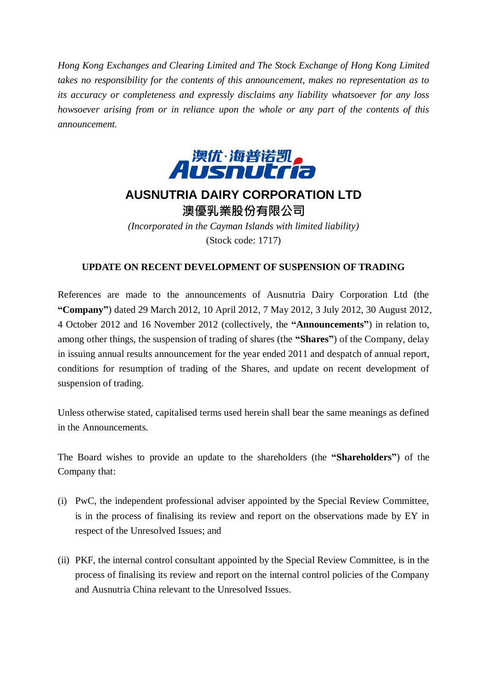*Hong Kong Exchanges and Clearing Limited and The Stock Exchange of Hong Kong Limited takes no responsibility for the contents of this announcement, makes no representation as to its accuracy or completeness and expressly disclaims any liability whatsoever for any loss howsoever arising from or in reliance upon the whole or any part of the contents of this announcement.*



## **AUSNUTRIA DAIRY CORPORATION LTD** 澳優乳業股份有限公司

*(Incorporated in the Cayman Islands with limited liability)* (Stock code: 1717)

## **UPDATE ON RECENT DEVELOPMENT OF SUSPENSION OF TRADING**

References are made to the announcements of Ausnutria Dairy Corporation Ltd (the **"Company"**) dated 29 March 2012, 10 April 2012, 7 May 2012, 3 July 2012, 30 August 2012, 4 October 2012 and 16 November 2012 (collectively, the **"Announcements"**) in relation to, among other things, the suspension of trading of shares (the **"Shares"**) of the Company, delay in issuing annual results announcement for the year ended 2011 and despatch of annual report, conditions for resumption of trading of the Shares, and update on recent development of suspension of trading.

Unless otherwise stated, capitalised terms used herein shall bear the same meanings as defined in the Announcements.

The Board wishes to provide an update to the shareholders (the **"Shareholders"**) of the Company that:

- (i) PwC, the independent professional adviser appointed by the Special Review Committee, is in the process of finalising its review and report on the observations made by EY in respect of the Unresolved Issues; and
- (ii) PKF, the internal control consultant appointed by the Special Review Committee, is in the process of finalising its review and report on the internal control policies of the Company and Ausnutria China relevant to the Unresolved Issues.